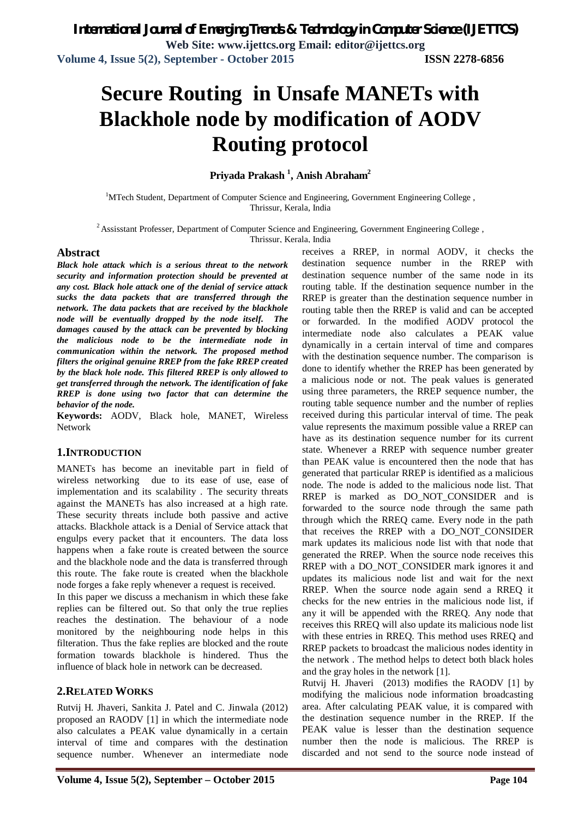# **Secure Routing in Unsafe MANETs with Blackhole node by modification of AODV Routing protocol**

**Priyada Prakash <sup>1</sup> , Anish Abraham<sup>2</sup>**

<sup>1</sup>MTech Student, Department of Computer Science and Engineering, Government Engineering College, Thrissur, Kerala, India

<sup>2</sup>Assisstant Professer, Department of Computer Science and Engineering, Government Engineering College ,

Thrissur, Kerala, India

#### **Abstract**

*Black hole attack which is a serious threat to the network security and information protection should be prevented at any cost. Black hole attack one of the denial of service attack sucks the data packets that are transferred through the network. The data packets that are received by the blackhole node will be eventually dropped by the node itself. The damages caused by the attack can be prevented by blocking the malicious node to be the intermediate node in communication within the network. The proposed method filters the original genuine RREP from the fake RREP created by the black hole node. This filtered RREP is only allowed to get transferred through the network. The identification of fake RREP is done using two factor that can determine the behavior of the node.*

**Keywords:** AODV, Black hole, MANET, Wireless Network

#### **1.INTRODUCTION**

MANETs has become an inevitable part in field of wireless networking due to its ease of use, ease of implementation and its scalability . The security threats against the MANETs has also increased at a high rate. These security threats include both passive and active attacks. Blackhole attack is a Denial of Service attack that engulps every packet that it encounters. The data loss happens when a fake route is created between the source and the blackhole node and the data is transferred through this route. The fake route is created when the blackhole node forges a fake reply whenever a request is received.

In this paper we discuss a mechanism in which these fake replies can be filtered out. So that only the true replies reaches the destination. The behaviour of a node monitored by the neighbouring node helps in this filteration. Thus the fake replies are blocked and the route formation towards blackhole is hindered. Thus the influence of black hole in network can be decreased.

#### **2.RELATED WORKS**

Rutvij H. Jhaveri, Sankita J. Patel and C. Jinwala (2012) proposed an RAODV [1] in which the intermediate node also calculates a PEAK value dynamically in a certain interval of time and compares with the destination sequence number. Whenever an intermediate node

receives a RREP, in normal AODV, it checks the destination sequence number in the RREP with destination sequence number of the same node in its routing table. If the destination sequence number in the RREP is greater than the destination sequence number in routing table then the RREP is valid and can be accepted or forwarded. In the modified AODV protocol the intermediate node also calculates a PEAK value dynamically in a certain interval of time and compares with the destination sequence number. The comparison is done to identify whether the RREP has been generated by a malicious node or not. The peak values is generated using three parameters, the RREP sequence number, the routing table sequence number and the number of replies received during this particular interval of time. The peak value represents the maximum possible value a RREP can have as its destination sequence number for its current state. Whenever a RREP with sequence number greater than PEAK value is encountered then the node that has generated that particular RREP is identified as a malicious node. The node is added to the malicious node list. That RREP is marked as DO\_NOT\_CONSIDER and is forwarded to the source node through the same path through which the RREQ came. Every node in the path that receives the RREP with a DO\_NOT\_CONSIDER mark updates its malicious node list with that node that generated the RREP. When the source node receives this RREP with a DO\_NOT\_CONSIDER mark ignores it and updates its malicious node list and wait for the next RREP. When the source node again send a RREQ it checks for the new entries in the malicious node list, if any it will be appended with the RREQ. Any node that receives this RREQ will also update its malicious node list with these entries in RREQ. This method uses RREQ and RREP packets to broadcast the malicious nodes identity in the network . The method helps to detect both black holes and the gray holes in the network [1].

Rutvij H. Jhaveri (2013) modifies the RAODV [1] by modifying the malicious node information broadcasting area. After calculating PEAK value, it is compared with the destination sequence number in the RREP. If the PEAK value is lesser than the destination sequence number then the node is malicious. The RREP is discarded and not send to the source node instead of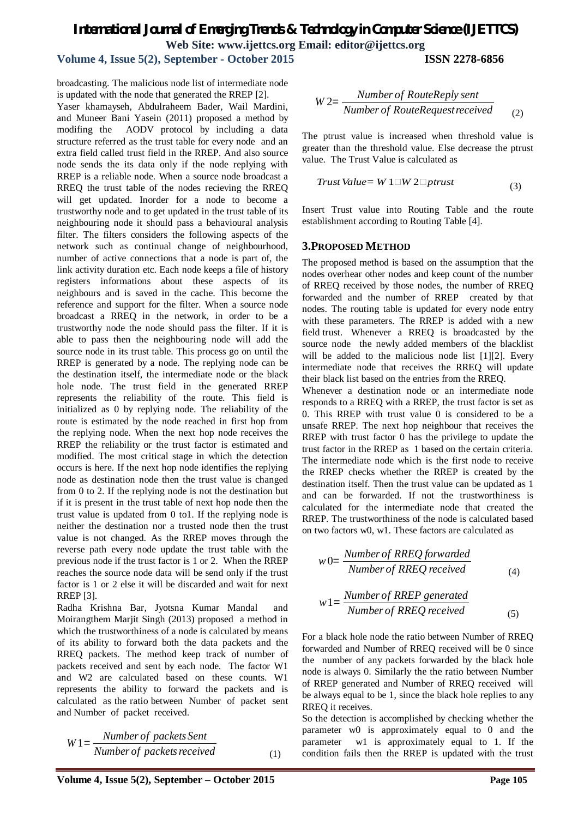# *International Journal of Emerging Trends & Technology in Computer Science (IJETTCS)* **Web Site: www.ijettcs.org Email: editor@ijettcs.org**

## **Volume 4, Issue 5(2), September - October 2015 ISSN 2278-6856**

broadcasting. The malicious node list of intermediate node is updated with the node that generated the RREP [2].

Yaser khamayseh, Abdulraheem Bader, Wail Mardini, and Muneer Bani Yasein (2011) proposed a method by modifing the AODV protocol by including a data structure referred as the trust table for every node and an extra field called trust field in the RREP. And also source node sends the its data only if the node replying with RREP is a reliable node. When a source node broadcast a RREQ the trust table of the nodes recieving the RREQ will get updated. Inorder for a node to become a trustworthy node and to get updated in the trust table of its neighbouring node it should pass a behavioural analysis filter. The filters considers the following aspects of the network such as continual change of neighbourhood, number of active connections that a node is part of, the link activity duration etc. Each node keeps a file of history registers informations about these aspects of its neighbours and is saved in the cache. This become the reference and support for the filter. When a source node broadcast a RREQ in the network, in order to be a trustworthy node the node should pass the filter. If it is able to pass then the neighbouring node will add the source node in its trust table. This process go on until the RREP is generated by a node. The replying node can be the destination itself, the intermediate node or the black hole node. The trust field in the generated RREP represents the reliability of the route. This field is initialized as 0 by replying node. The reliability of the route is estimated by the node reached in first hop from the replying node. When the next hop node receives the RREP the reliability or the trust factor is estimated and modified. The most critical stage in which the detection occurs is here. If the next hop node identifies the replying node as destination node then the trust value is changed from 0 to 2. If the replying node is not the destination but if it is present in the trust table of next hop node then the trust value is updated from 0 to1. If the replying node is neither the destination nor a trusted node then the trust value is not changed. As the RREP moves through the reverse path every node update the trust table with the previous node if the trust factor is 1 or 2. When the RREP reaches the source node data will be send only if the trust factor is 1 or 2 else it will be discarded and wait for next RREP [3].

Radha Krishna Bar, Jyotsna Kumar Mandal and Moirangthem Marjit Singh (2013) proposed a method in which the trustworthiness of a node is calculated by means of its ability to forward both the data packets and the RREQ packets. The method keep track of number of packets received and sent by each node. The factor W1 and W2 are calculated based on these counts. W1 represents the ability to forward the packets and is calculated as the ratio between Number of packet sent and Number of packet received.

$$
W1 = \frac{Number\ of\ packets\ Sent}{Number\ of\ packets\ received}
$$
 (1)

$$
W2 = \frac{Number\ of\ RouteReply\ sent}{Number\ of\ RouteRequest received}
$$
 (2)

The ptrust value is increased when threshold value is greater than the threshold value. Else decrease the ptrust value. The Trust Value is calculated as

$$
Trust Value = W1\square W2\square prrust
$$
\n(3)

Insert Trust value into Routing Table and the route establishment according to Routing Table [4].

#### **3.PROPOSED METHOD**

The proposed method is based on the assumption that the nodes overhear other nodes and keep count of the number of RREQ received by those nodes, the number of RREQ forwarded and the number of RREP created by that nodes. The routing table is updated for every node entry with these parameters. The RREP is added with a new field trust. Whenever a RREQ is broadcasted by the source node the newly added members of the blacklist will be added to the malicious node list [1][2]. Every intermediate node that receives the RREQ will update their black list based on the entries from the RREQ.

Whenever a destination node or an intermediate node responds to a RREQ with a RREP, the trust factor is set as 0. This RREP with trust value 0 is considered to be a unsafe RREP. The next hop neighbour that receives the RREP with trust factor 0 has the privilege to update the trust factor in the RREP as 1 based on the certain criteria. The intermediate node which is the first node to receive the RREP checks whether the RREP is created by the destination itself. Then the trust value can be updated as 1 and can be forwarded. If not the trustworthiness is calculated for the intermediate node that created the RREP. The trustworthiness of the node is calculated based on two factors w0, w1. These factors are calculated as

$$
w0 = \frac{Number\ of\ RREQ\nforward}{Number\ of\ RREQ\ received}
$$
\n<sup>(4)</sup>

$$
w1 = \frac{Number\ of\ RRED\ generated}{Number\ of\ RREQ\ received}
$$
\n(5)

For a black hole node the ratio between Number of RREQ forwarded and Number of RREQ received will be 0 since the number of any packets forwarded by the black hole node is always 0. Similarly the the ratio between Number of RREP generated and Number of RREQ received will be always equal to be 1, since the black hole replies to any RREQ it receives.

So the detection is accomplished by checking whether the parameter w0 is approximately equal to 0 and the parameter w1 is approximately equal to 1. If the condition fails then the RREP is updated with the trust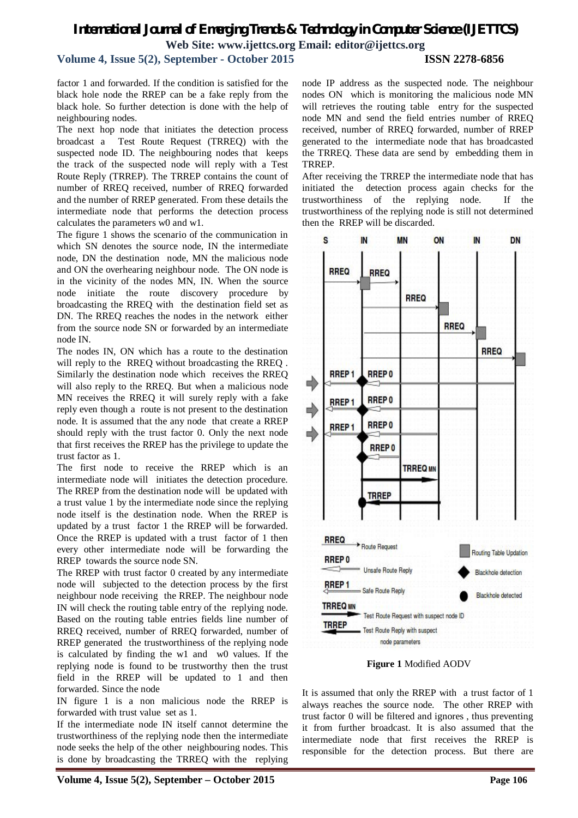# *International Journal of Emerging Trends & Technology in Computer Science (IJETTCS)* **Web Site: www.ijettcs.org Email: editor@ijettcs.org**

**Volume 4, Issue 5(2), September - October 2015 ISSN 2278-6856**

factor 1 and forwarded. If the condition is satisfied for the black hole node the RREP can be a fake reply from the black hole. So further detection is done with the help of neighbouring nodes.

The next hop node that initiates the detection process broadcast a Test Route Request (TRREQ) with the suspected node ID. The neighbouring nodes that keeps the track of the suspected node will reply with a Test Route Reply (TRREP). The TRREP contains the count of number of RREQ received, number of RREQ forwarded and the number of RREP generated. From these details the intermediate node that performs the detection process calculates the parameters w0 and w1.

The figure 1 shows the scenario of the communication in which SN denotes the source node, IN the intermediate node, DN the destination node, MN the malicious node and ON the overhearing neighbour node. The ON node is in the vicinity of the nodes MN, IN. When the source node initiate the route discovery procedure by broadcasting the RREQ with the destination field set as DN. The RREQ reaches the nodes in the network either from the source node SN or forwarded by an intermediate node IN.

The nodes IN, ON which has a route to the destination will reply to the RREQ without broadcasting the RREQ . Similarly the destination node which receives the RREQ will also reply to the RREQ. But when a malicious node MN receives the RREQ it will surely reply with a fake reply even though a route is not present to the destination node. It is assumed that the any node that create a RREP should reply with the trust factor 0. Only the next node that first receives the RREP has the privilege to update the trust factor as 1.

The first node to receive the RREP which is an intermediate node will initiates the detection procedure. The RREP from the destination node will be updated with a trust value 1 by the intermediate node since the replying node itself is the destination node. When the RREP is updated by a trust factor 1 the RREP will be forwarded. Once the RREP is updated with a trust factor of 1 then every other intermediate node will be forwarding the RREP towards the source node SN.

The RREP with trust factor 0 created by any intermediate node will subjected to the detection process by the first neighbour node receiving the RREP. The neighbour node IN will check the routing table entry of the replying node. Based on the routing table entries fields line number of RREQ received, number of RREQ forwarded, number of RREP generated the trustworthiness of the replying node is calculated by finding the w1 and w0 values. If the replying node is found to be trustworthy then the trust field in the RREP will be updated to 1 and then forwarded. Since the node

IN figure 1 is a non malicious node the RREP is forwarded with trust value set as 1.

If the intermediate node IN itself cannot determine the trustworthiness of the replying node then the intermediate node seeks the help of the other neighbouring nodes. This is done by broadcasting the TRREQ with the replying

node IP address as the suspected node. The neighbour nodes ON which is monitoring the malicious node MN will retrieves the routing table entry for the suspected node MN and send the field entries number of RREQ received, number of RREQ forwarded, number of RREP generated to the intermediate node that has broadcasted the TRREQ. These data are send by embedding them in TRREP.

After receiving the TRREP the intermediate node that has initiated the detection process again checks for the trustworthiness of the replying node. If the trustworthiness of the replying node is still not determined then the RREP will be discarded.



**Figure 1** Modified AODV

It is assumed that only the RREP with a trust factor of 1 always reaches the source node. The other RREP with trust factor 0 will be filtered and ignores , thus preventing it from further broadcast. It is also assumed that the intermediate node that first receives the RREP is responsible for the detection process. But there are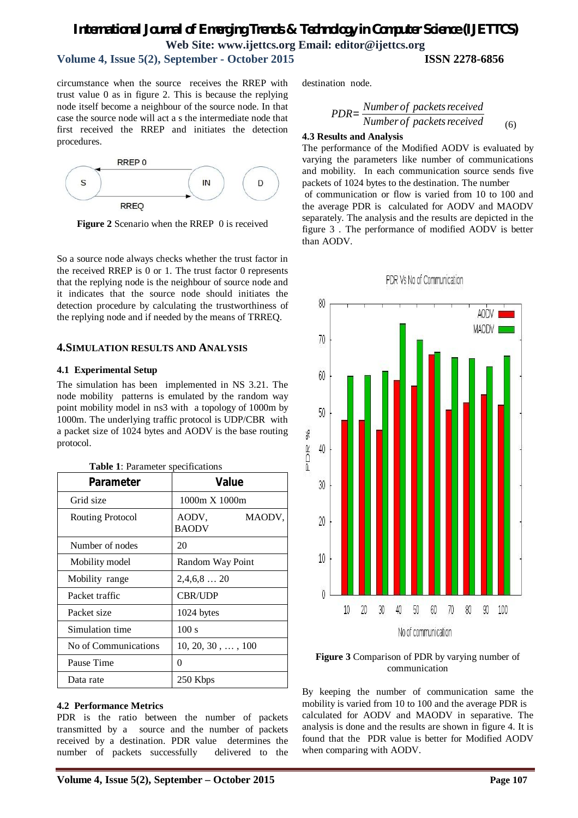# *International Journal of Emerging Trends & Technology in Computer Science (IJETTCS)* **Web Site: www.ijettcs.org Email: editor@ijettcs.org**

destination node.

**4.3 Results and Analysis**

# **Volume 4, Issue 5(2), September - October 2015 ISSN 2278-6856**

circumstance when the source receives the RREP with trust value 0 as in figure 2. This is because the replying node itself become a neighbour of the source node. In that case the source node will act a s the intermediate node that first received the RREP and initiates the detection procedures.



**Figure 2** Scenario when the RREP 0 is received

So a source node always checks whether the trust factor in the received RREP is 0 or 1. The trust factor 0 represents that the replying node is the neighbour of source node and it indicates that the source node should initiates the detection procedure by calculating the trustworthiness of the replying node and if needed by the means of TRREQ.

#### **4.SIMULATION RESULTS AND ANALYSIS**

#### **4.1 Experimental Setup**

The simulation has been implemented in NS 3.21. The node mobility patterns is emulated by the random way point mobility model in ns3 with a topology of 1000m by 1000m. The underlying traffic protocol is UDP/CBR with a packet size of 1024 bytes and AODV is the base routing protocol.

| <b>Table 1:</b> Parameter specifications |                                 |
|------------------------------------------|---------------------------------|
| Parameter                                | <b>Value</b>                    |
| Grid size                                | $1000m \times 1000m$            |
| Routing Protocol                         | AODV.<br>MAODV,<br><b>BAODV</b> |
| Number of nodes                          | 20                              |
| Mobility model                           | Random Way Point                |
| Mobility range                           | $2,4,6,8$ 20                    |
| Packet traffic                           | <b>CBR/UDP</b>                  |
| Packet size                              | 1024 bytes                      |
| Simulation time                          | 100 s                           |
| No of Communications                     | $10, 20, 30, \ldots, 100$       |
| Pause Time                               | 0                               |
| Data rate                                | 250 Kbps                        |

#### **4.2 Performance Metrics**

PDR is the ratio between the number of packets transmitted by a source and the number of packets received by a destination. PDR value determines the number of packets successfully delivered to the

of communication or flow is varied from 10 to 100 and the average PDR is calculated for AODV and MAODV separately. The analysis and the results are depicted in the figure 3 . The performance of modified AODV is better than AODV.

The performance of the Modified AODV is evaluated by varying the parameters like number of communications and mobility. In each communication source sends five packets of 1024 bytes to the destination. The number

*PDR* =  $\frac{Number\ of\ packets\ received}{M}$ 

*Number of packets received* <sub>(6)</sub>



#### **Figure 3** Comparison of PDR by varying number of communication

By keeping the number of communication same the mobility is varied from 10 to 100 and the average PDR is calculated for AODV and MAODV in separative. The analysis is done and the results are shown in figure 4. It is found that the PDR value is better for Modified AODV when comparing with AODV.

# PDR Vs No of Communication